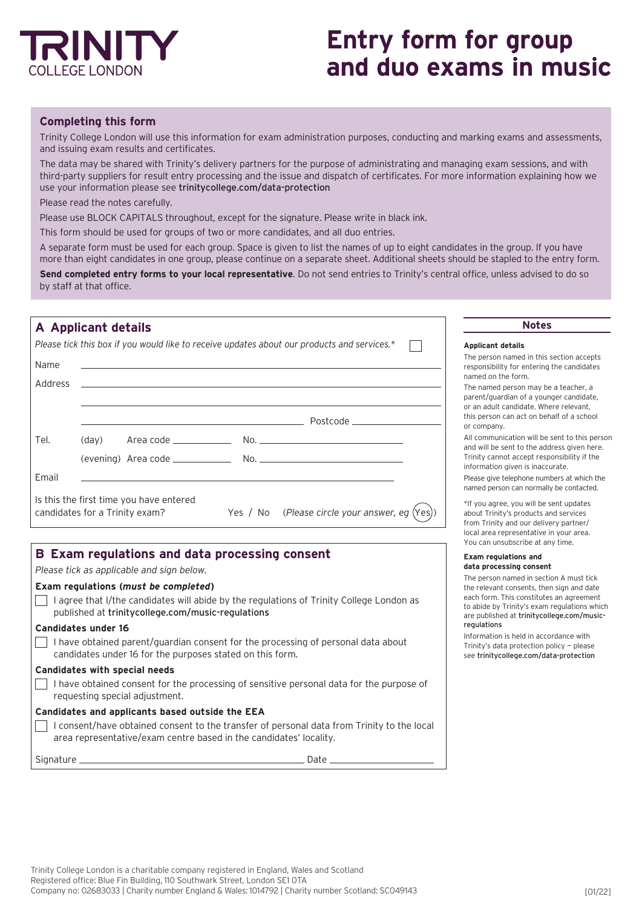

# **Entry form for group and duo exams in music**

# **Completing this form**

Trinity College London will use this information for exam administration purposes, conducting and marking exams and assessments, and issuing exam results and certificates.

The data may be shared with Trinity's delivery partners for the purpose of administrating and managing exam sessions, and with third-party suppliers for result entry processing and the issue and dispatch of certificates. For more information explaining how we use your information please see [trinitycollege.com/data-protection](http://trinitycollege.com/data-protection)

Please read the notes carefully.

Please use BLOCK CAPITALS throughout, except for the signature. Please write in black ink.

This form should be used for groups of two or more candidates, and all duo entries.

A separate form must be used for each group. Space is given to list the names of up to eight candidates in the group. If you have more than eight candidates in one group, please continue on a separate sheet. Additional sheets should be stapled to the entry form.

**Send completed entry forms to your local representative**. Do not send entries to Trinity's central office, unless advised to do so by staff at that office.

# **A Applicant details Notes**

|         |       |                                                                           | Please tick this box if you would like to receive updates about our products and services.* | Ap        |
|---------|-------|---------------------------------------------------------------------------|---------------------------------------------------------------------------------------------|-----------|
| Name    |       |                                                                           |                                                                                             |           |
| Address |       |                                                                           |                                                                                             | na        |
|         |       |                                                                           |                                                                                             | or        |
|         |       |                                                                           | Postcode ____________________                                                               | thi<br>or |
| Tel.    | (day) |                                                                           |                                                                                             | Al<br>an  |
|         |       |                                                                           |                                                                                             | inf       |
| Email   |       |                                                                           |                                                                                             |           |
|         |       | Is this the first time you have entered<br>candidates for a Trinity exam? | Yes / No (Please circle your answer, eg $(Yes)$ )                                           | na<br>ab  |

# **B Exam regulations and data processing consent**

*Please tick as applicable and sign below.* 

#### **Exam regulations (***must be completed***)**

 $\Box$  I agree that I/the candidates will abide by the regulations of Trinity College London as published at [trinitycollege.com/music-regulations](http://trinitycollege.com/music-regulations)

#### **Candidates under 16**

 $\Box$  I have obtained parent/guardian consent for the processing of personal data about candidates under 16 for the purposes stated on this form.

### **Candidates with special needs**

I have obtained consent for the processing of sensitive personal data for the purpose of  $\mathbf{L}$ requesting special adjustment.

#### **Candidates and applicants based outside the EEA**

I consent/have obtained consent to the transfer of personal data from Trinity to the local area representative/exam centre based in the candidates' locality.

Signature Date

#### **Applicant details**

the person named in this section accepts sponsibility for entering the candidates named on the form.

ne named person may be a teacher, a parent/guardian of a younger candidate, an adult candidate. Where relevant, is person can act on behalf of a school company.

communication will be sent to this person ad will be sent to the address given here. inity cannot accept responsibility if the formation given is inaccurate.

ease give telephone numbers at which the amed person can normally be contacted.

you agree, you will be sent updates out Trinity's products and services om Trinity and our delivery partner/ local area representative in your area. You can unsubscribe at any time.

#### **Exam regulations and data processing consent**

The person named in section A must tick the relevant consents, then sign and date each form. This constitutes an agreement to abide by Trinity's exam regulations which are published at [trinitycollege.com/music](http://trinitycollege.com/music-regulations)[regulations](http://trinitycollege.com/music-regulations)

Information is held in accordance with Trinity's data protection policy — please see [trinitycollege.com/data-protection](http://trinitycollege.com/data-protection)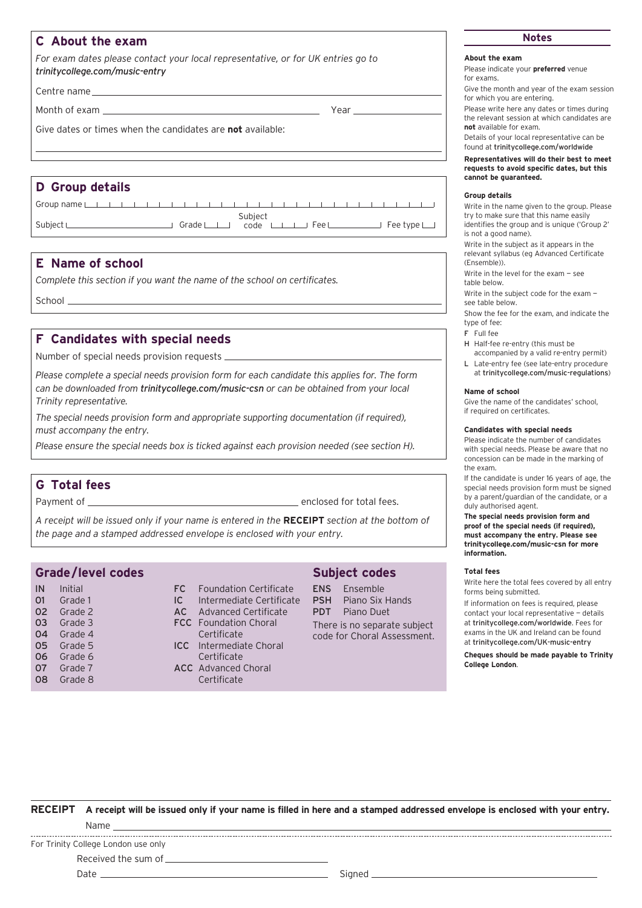# **C About the exam**

*For exam dates please contact your local representative, or for UK entries go to [trinitycollege.com/music-entry](http://trinitycollege.com/music-entry)*

Centre name

Month of exam Year

Give dates or times when the candidates are **not** available:

# **D Group details**

| Group name $\Box$ |  |  |  |  |  | $\sim$ $\sim$ $\sim$ |  |  |  |  |  |                             |  |
|-------------------|--|--|--|--|--|----------------------|--|--|--|--|--|-----------------------------|--|
| Subject L         |  |  |  |  |  |                      |  |  |  |  |  | $\mathsf{F}$ ee type $\Box$ |  |

# **E Name of school**

*Complete this section if you want the name of the school on certificates.*

School

# **F Candidates with special needs**

Number of special needs provision requests

*Please complete a special needs provision form for each candidate this applies for. The form can be downloaded from [trinitycollege.com/music-csn](http://trinitycollege.com/music-csn) or can be obtained from your local Trinity representative.*

*The special needs provision form and appropriate supporting documentation (if required), must accompany the entry.* 

*Please ensure the special needs box is ticked against each provision needed (see section H).* 

# **G Total fees**

Payment of enclosed for total fees.

*A receipt will be issued only if your name is entered in the* **RECEIPT** *section at the bottom of the page and a stamped addressed envelope is enclosed with your entry.*

# **Grade/level codes**

# FC Foundation Certificate

- IC Intermediate Certificate AC Advanced Certificate
- FCC Foundation Choral Certificate
- ICC Intermediate Choral Certificate
- ACC Advanced Choral Certificate

## **Subject codes**

ENS Ensemble PSH Piano Six Hands PDT Piano Duet

There is no separate subject code for Choral Assessment.

# **Notes**

## **About the exam**

Please indicate your **preferred** venue for exams.

Give the month and year of the exam session for which you are entering.

Please write here any dates or times during the relevant session at which candidates are **not** available for exam.

Details of your local representative can be found at [trinitycollege.com/worldwide](http://trinitycollege.com/worldwide)

**Representatives will do their best to meet requests to avoid specific dates, but this cannot be guaranteed.** 

#### **Group details**

Write in the name given to the group. Please try to make sure that this name easily identifies the group and is unique ('Group 2' is not a good name).

Write in the subject as it appears in the relevant syllabus (eg Advanced Certificate (Ensemble)).

Write in the level for the exam — see table below.

Write in the subject code for the exam —

see table below.

Show the fee for the exam, and indicate the type of fee:

F Full fee

H Half-fee re-entry (this must be accompanied by a valid re-entry permit)

L Late-entry fee (see late-entry procedure at [trinitycollege.com/music-regulations](http://trinitycollege.com/music-regulations))

#### **Name of school**

Give the name of the candidates' school, if required on certificates.

#### **Candidates with special needs**

Please indicate the number of candidates with special needs. Please be aware that no concession can be made in the marking of the exam.

If the candidate is under 16 years of age, the special needs provision form must be signed by a parent/guardian of the candidate, or a duly authorised agent.

**The special needs provision form and proof of the special needs (if required), must accompany the entry. Please see [trinitycollege.com/music-csn](http://trinitycollege.com/music-csn) for more information.**

#### **Total fees**

Write here the total fees covered by all entry forms being submitted.

If information on fees is required, please contact your local representative — details at [trinitycollege.com/worldwide](http://trinitycollege.com/worldwide). Fees for exams in the UK and Ireland can be found at [trinitycollege.com/UK-music-entry](http://trinitycollege.com/UK-music-entry)

**Cheques should be made payable to Trinity College London**.

**RECEIPT A receipt will be issued only if your name is filled in here and a stamped addressed envelope is enclosed with your entry.** Name 

For Trinity College London use only

Received the sum of

Date Signed